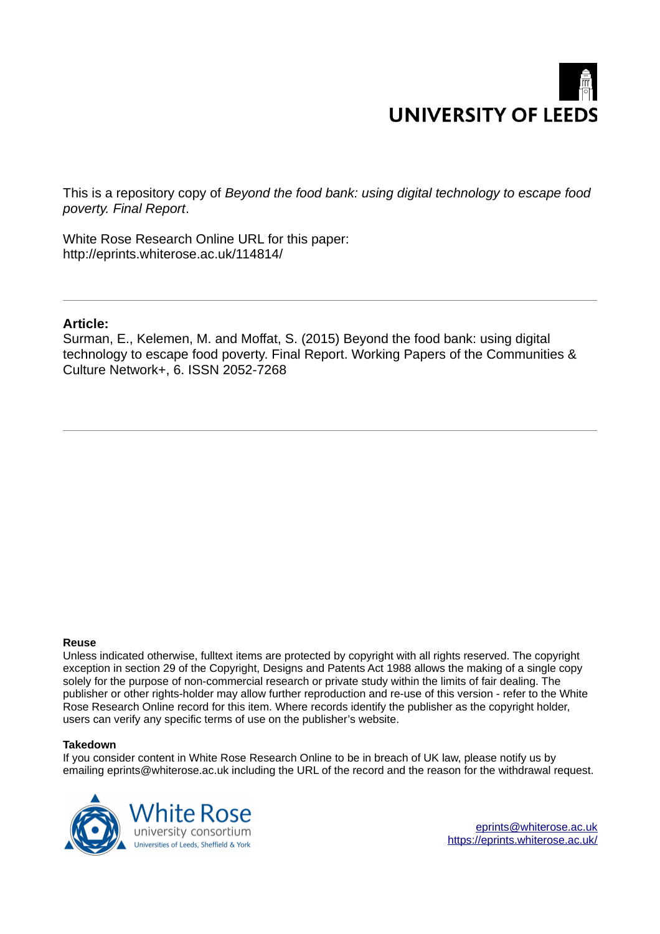# **UNIVERSITY OF LEEDS**

This is a repository copy of *Beyond the food bank: using digital technology to escape food poverty. Final Report*.

White Rose Research Online URL for this paper: http://eprints.whiterose.ac.uk/114814/

#### **Article:**

Surman, E., Kelemen, M. and Moffat, S. (2015) Beyond the food bank: using digital technology to escape food poverty. Final Report. Working Papers of the Communities & Culture Network+, 6. ISSN 2052-7268

#### **Reuse**

Unless indicated otherwise, fulltext items are protected by copyright with all rights reserved. The copyright exception in section 29 of the Copyright, Designs and Patents Act 1988 allows the making of a single copy solely for the purpose of non-commercial research or private study within the limits of fair dealing. The publisher or other rights-holder may allow further reproduction and re-use of this version - refer to the White Rose Research Online record for this item. Where records identify the publisher as the copyright holder, users can verify any specific terms of use on the publisher's website.

#### **Takedown**

If you consider content in White Rose Research Online to be in breach of UK law, please notify us by emailing eprints@whiterose.ac.uk including the URL of the record and the reason for the withdrawal request.



[eprints@whiterose.ac.uk](mailto:eprints@whiterose.ac.uk) <https://eprints.whiterose.ac.uk/>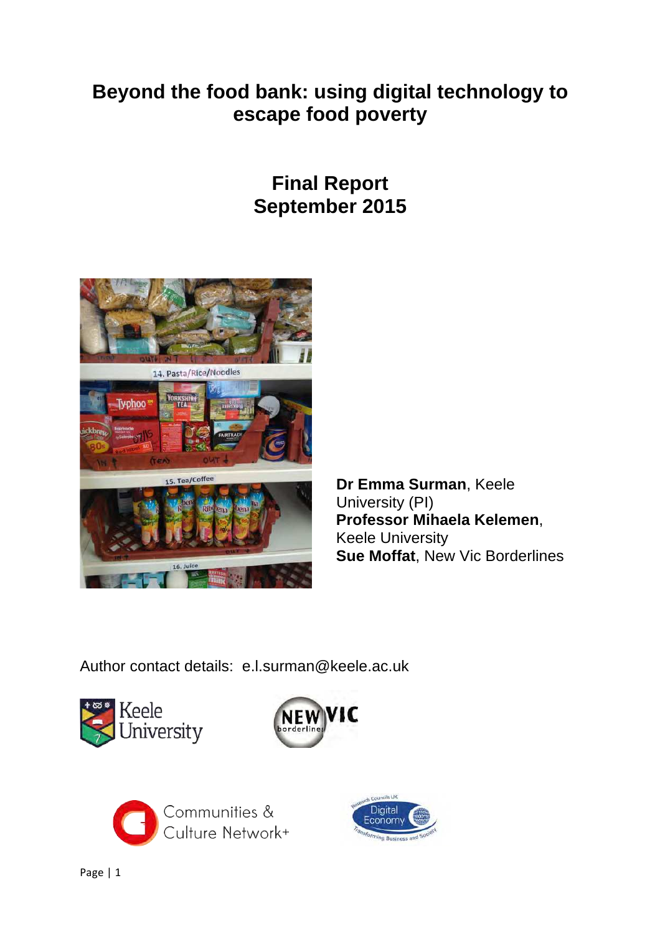# **Beyond the food bank: using digital technology to escape food poverty**

# **Final Report September 2015**



**Dr Emma Surman**, Keele University (PI) **Professor Mihaela Kelemen**, Keele University **Sue Moffat**, New Vic Borderlines

Author contact details: e.l.surman@keele.ac.uk







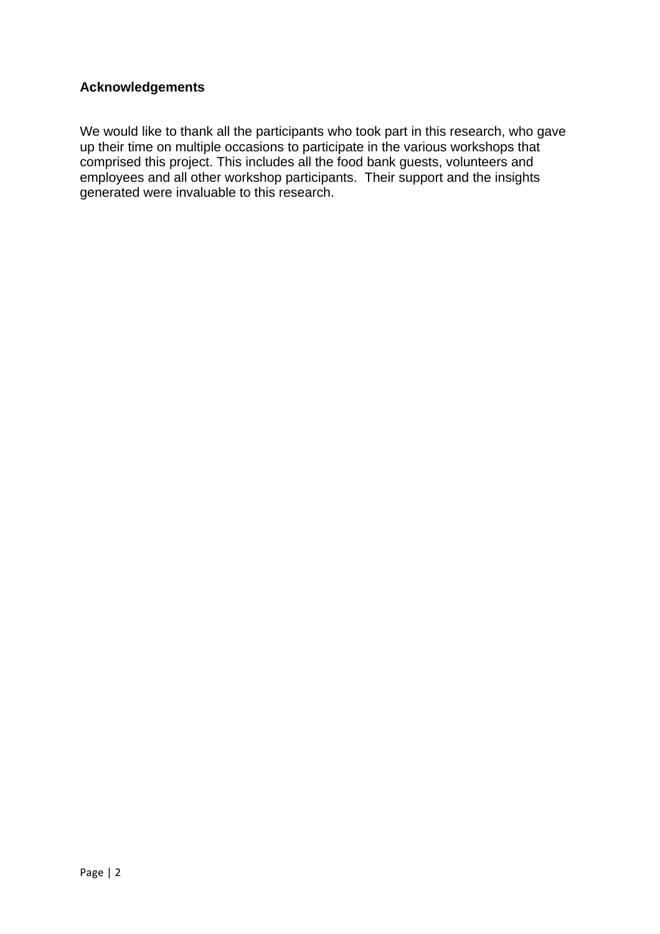# **Acknowledgements**

We would like to thank all the participants who took part in this research, who gave up their time on multiple occasions to participate in the various workshops that comprised this project. This includes all the food bank guests, volunteers and employees and all other workshop participants. Their support and the insights generated were invaluable to this research.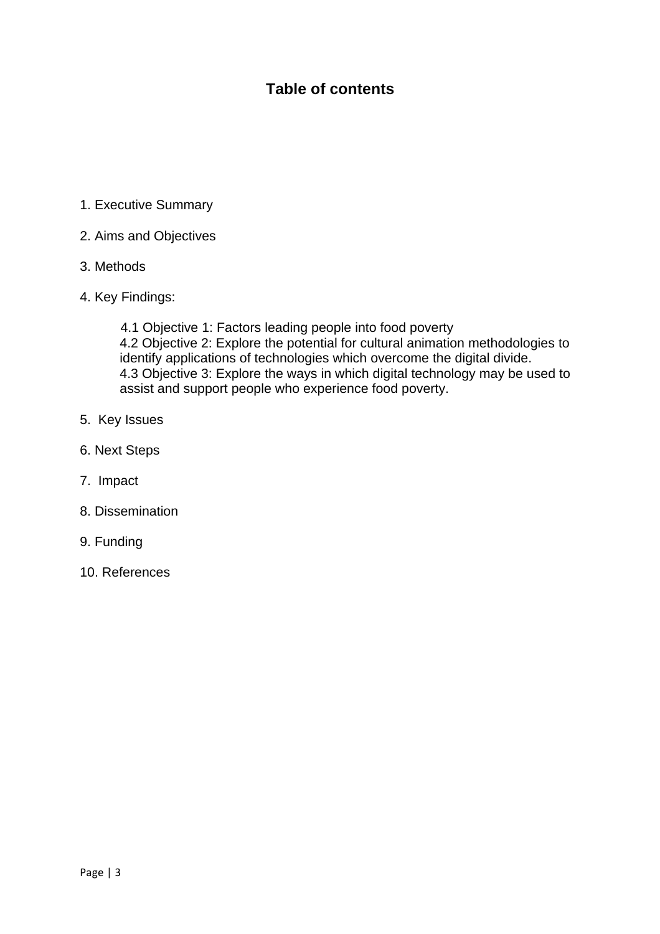# **Table of contents**

- 1. Executive Summary
- 2. Aims and Objectives
- 3. Methods
- 4. Key Findings:

 4.1 Objective 1: Factors leading people into food poverty 4.2 Objective 2: Explore the potential for cultural animation methodologies to identify applications of technologies which overcome the digital divide. 4.3 Objective 3: Explore the ways in which digital technology may be used to assist and support people who experience food poverty.

- 5. Key Issues
- 6. Next Steps
- 7. Impact
- 8. Dissemination
- 9. Funding
- 10. References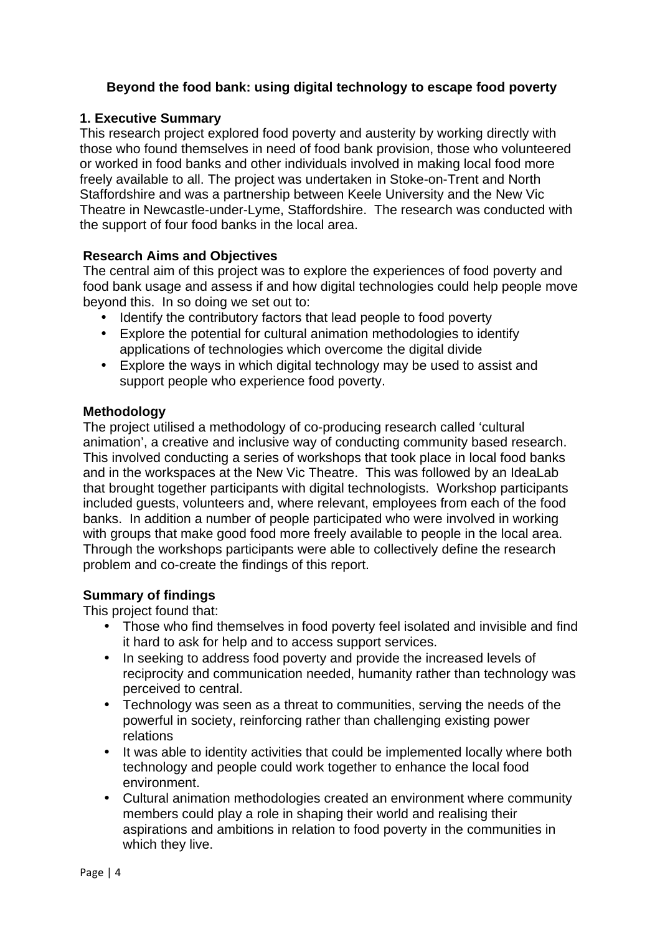#### **Beyond the food bank: using digital technology to escape food poverty**

#### **1. Executive Summary**

This research project explored food poverty and austerity by working directly with those who found themselves in need of food bank provision, those who volunteered or worked in food banks and other individuals involved in making local food more freely available to all. The project was undertaken in Stoke-on-Trent and North Staffordshire and was a partnership between Keele University and the New Vic Theatre in Newcastle-under-Lyme, Staffordshire. The research was conducted with the support of four food banks in the local area.

#### **Research Aims and Objectives**

The central aim of this project was to explore the experiences of food poverty and food bank usage and assess if and how digital technologies could help people move beyond this. In so doing we set out to:

- Identify the contributory factors that lead people to food poverty
- Explore the potential for cultural animation methodologies to identify applications of technologies which overcome the digital divide
- Explore the ways in which digital technology may be used to assist and support people who experience food poverty.

#### **Methodology**

The project utilised a methodology of co-producing research called 'cultural animation', a creative and inclusive way of conducting community based research. This involved conducting a series of workshops that took place in local food banks and in the workspaces at the New Vic Theatre. This was followed by an IdeaLab that brought together participants with digital technologists. Workshop participants included guests, volunteers and, where relevant, employees from each of the food banks. In addition a number of people participated who were involved in working with groups that make good food more freely available to people in the local area. Through the workshops participants were able to collectively define the research problem and co-create the findings of this report.

#### **Summary of findings**

This project found that:

- Those who find themselves in food poverty feel isolated and invisible and find it hard to ask for help and to access support services.
- In seeking to address food poverty and provide the increased levels of reciprocity and communication needed, humanity rather than technology was perceived to central.
- Technology was seen as a threat to communities, serving the needs of the powerful in society, reinforcing rather than challenging existing power relations
- It was able to identity activities that could be implemented locally where both technology and people could work together to enhance the local food environment.
- Cultural animation methodologies created an environment where community members could play a role in shaping their world and realising their aspirations and ambitions in relation to food poverty in the communities in which they live.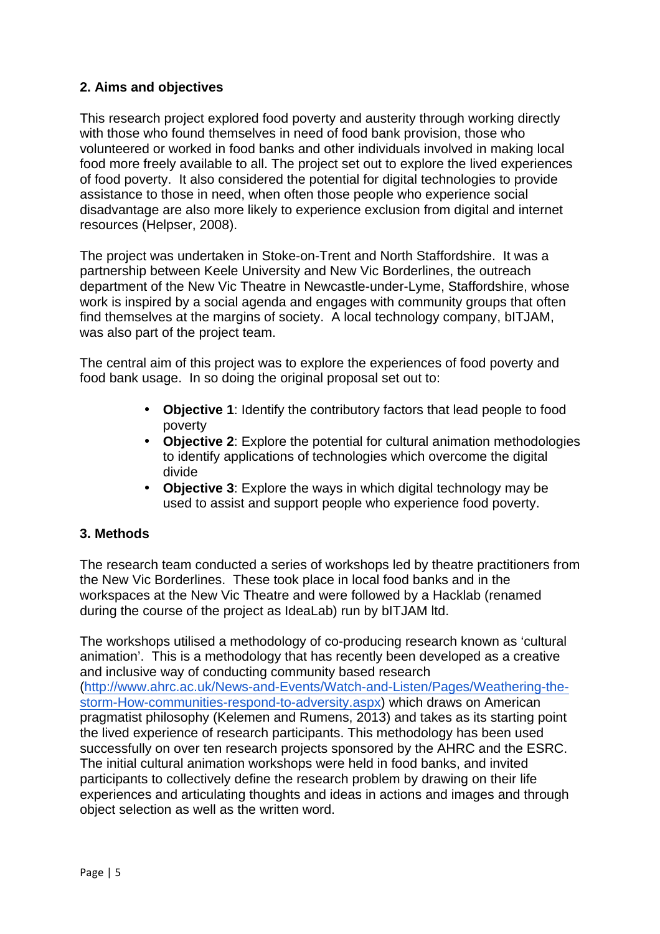# **2. Aims and objectives**

This research project explored food poverty and austerity through working directly with those who found themselves in need of food bank provision, those who volunteered or worked in food banks and other individuals involved in making local food more freely available to all. The project set out to explore the lived experiences of food poverty. It also considered the potential for digital technologies to provide assistance to those in need, when often those people who experience social disadvantage are also more likely to experience exclusion from digital and internet resources (Helpser, 2008).

The project was undertaken in Stoke-on-Trent and North Staffordshire. It was a partnership between Keele University and New Vic Borderlines, the outreach department of the New Vic Theatre in Newcastle-under-Lyme, Staffordshire, whose work is inspired by a social agenda and engages with community groups that often find themselves at the margins of society. A local technology company, bITJAM, was also part of the project team.

The central aim of this project was to explore the experiences of food poverty and food bank usage. In so doing the original proposal set out to:

- **Objective 1**: Identify the contributory factors that lead people to food poverty
- **Objective 2**: Explore the potential for cultural animation methodologies to identify applications of technologies which overcome the digital divide
- **Objective 3**: Explore the ways in which digital technology may be used to assist and support people who experience food poverty.

# **3. Methods**

The research team conducted a series of workshops led by theatre practitioners from the New Vic Borderlines. These took place in local food banks and in the workspaces at the New Vic Theatre and were followed by a Hacklab (renamed during the course of the project as IdeaLab) run by bITJAM ltd.

The workshops utilised a methodology of co-producing research known as 'cultural animation'. This is a methodology that has recently been developed as a creative and inclusive way of conducting community based research (http://www.ahrc.ac.uk/News-and-Events/Watch-and-Listen/Pages/Weathering-thestorm-How-communities-respond-to-adversity.aspx) which draws on American pragmatist philosophy (Kelemen and Rumens, 2013) and takes as its starting point the lived experience of research participants. This methodology has been used successfully on over ten research projects sponsored by the AHRC and the ESRC. The initial cultural animation workshops were held in food banks, and invited participants to collectively define the research problem by drawing on their life experiences and articulating thoughts and ideas in actions and images and through object selection as well as the written word.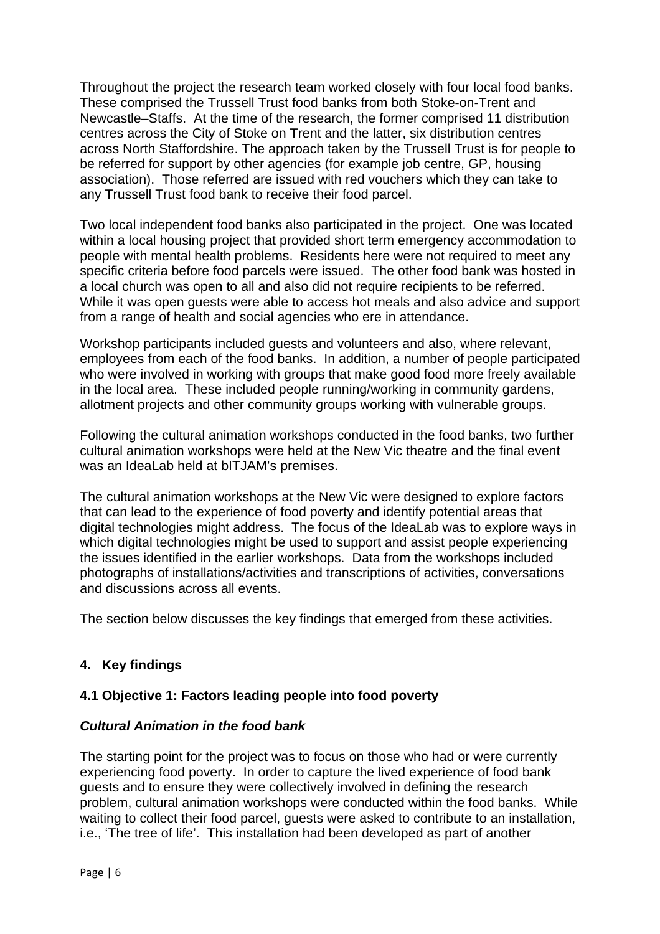Throughout the project the research team worked closely with four local food banks. These comprised the Trussell Trust food banks from both Stoke-on-Trent and Newcastle–Staffs. At the time of the research, the former comprised 11 distribution centres across the City of Stoke on Trent and the latter, six distribution centres across North Staffordshire. The approach taken by the Trussell Trust is for people to be referred for support by other agencies (for example job centre, GP, housing association). Those referred are issued with red vouchers which they can take to any Trussell Trust food bank to receive their food parcel.

Two local independent food banks also participated in the project. One was located within a local housing project that provided short term emergency accommodation to people with mental health problems. Residents here were not required to meet any specific criteria before food parcels were issued. The other food bank was hosted in a local church was open to all and also did not require recipients to be referred. While it was open guests were able to access hot meals and also advice and support from a range of health and social agencies who ere in attendance.

Workshop participants included guests and volunteers and also, where relevant, employees from each of the food banks. In addition, a number of people participated who were involved in working with groups that make good food more freely available in the local area. These included people running/working in community gardens, allotment projects and other community groups working with vulnerable groups.

Following the cultural animation workshops conducted in the food banks, two further cultural animation workshops were held at the New Vic theatre and the final event was an IdeaLab held at bITJAM's premises.

The cultural animation workshops at the New Vic were designed to explore factors that can lead to the experience of food poverty and identify potential areas that digital technologies might address. The focus of the IdeaLab was to explore ways in which digital technologies might be used to support and assist people experiencing the issues identified in the earlier workshops. Data from the workshops included photographs of installations/activities and transcriptions of activities, conversations and discussions across all events.

The section below discusses the key findings that emerged from these activities.

# **4. Key findings**

# **4.1 Objective 1: Factors leading people into food poverty**

#### **Cultural Animation in the food bank**

The starting point for the project was to focus on those who had or were currently experiencing food poverty. In order to capture the lived experience of food bank guests and to ensure they were collectively involved in defining the research problem, cultural animation workshops were conducted within the food banks. While waiting to collect their food parcel, guests were asked to contribute to an installation, i.e., 'The tree of life'. This installation had been developed as part of another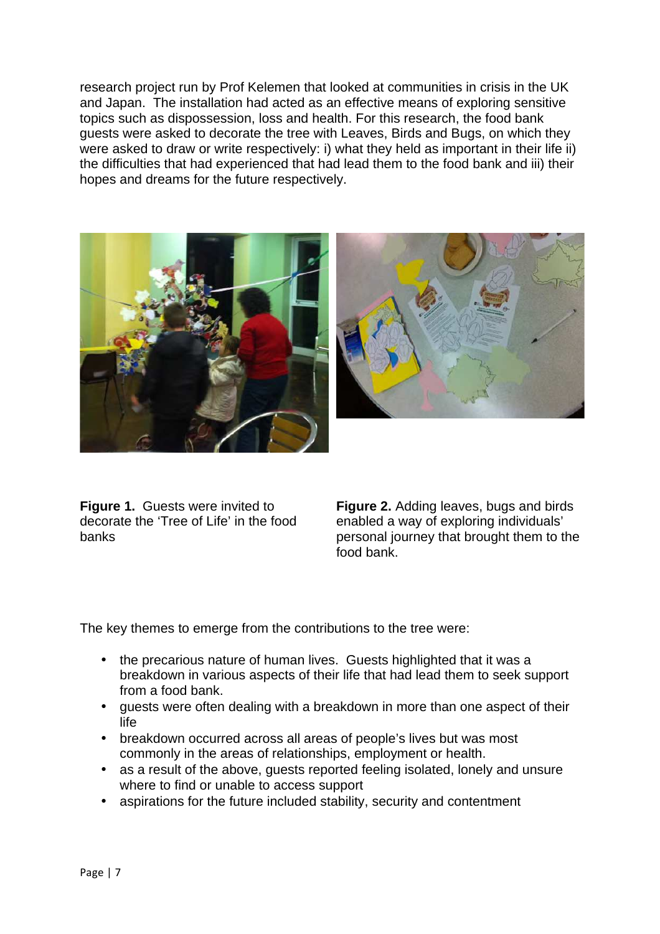research project run by Prof Kelemen that looked at communities in crisis in the UK and Japan. The installation had acted as an effective means of exploring sensitive topics such as dispossession, loss and health. For this research, the food bank guests were asked to decorate the tree with Leaves, Birds and Bugs, on which they were asked to draw or write respectively: i) what they held as important in their life ii) the difficulties that had experienced that had lead them to the food bank and iii) their hopes and dreams for the future respectively.



**Figure 1.** Guests were invited to decorate the 'Tree of Life' in the food banks

**Figure 2.** Adding leaves, bugs and birds enabled a way of exploring individuals' personal journey that brought them to the food bank.

The key themes to emerge from the contributions to the tree were:

- the precarious nature of human lives. Guests highlighted that it was a breakdown in various aspects of their life that had lead them to seek support from a food bank.
- guests were often dealing with a breakdown in more than one aspect of their life
- breakdown occurred across all areas of people's lives but was most commonly in the areas of relationships, employment or health.
- as a result of the above, guests reported feeling isolated, lonely and unsure where to find or unable to access support
- aspirations for the future included stability, security and contentment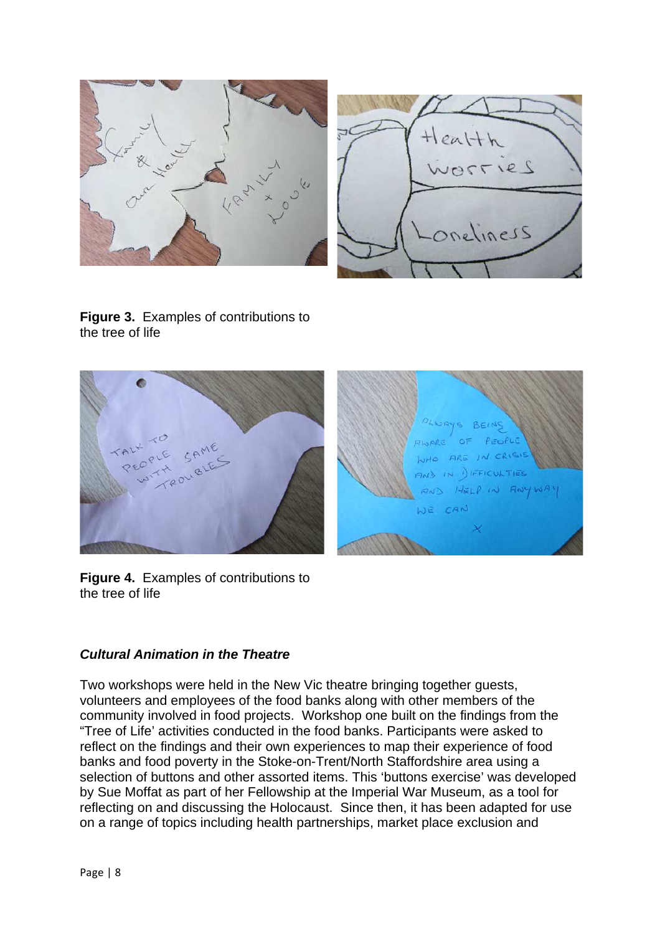

**Figure 3.** Examples of contributions to the tree of life



**Figure 4.** Examples of contributions to the tree of life

# **Cultural Animation in the Theatre**

Two workshops were held in the New Vic theatre bringing together guests, volunteers and employees of the food banks along with other members of the community involved in food projects. Workshop one built on the findings from the "Tree of Life' activities conducted in the food banks. Participants were asked to reflect on the findings and their own experiences to map their experience of food banks and food poverty in the Stoke-on-Trent/North Staffordshire area using a selection of buttons and other assorted items. This 'buttons exercise' was developed by Sue Moffat as part of her Fellowship at the Imperial War Museum, as a tool for reflecting on and discussing the Holocaust. Since then, it has been adapted for use on a range of topics including health partnerships, market place exclusion and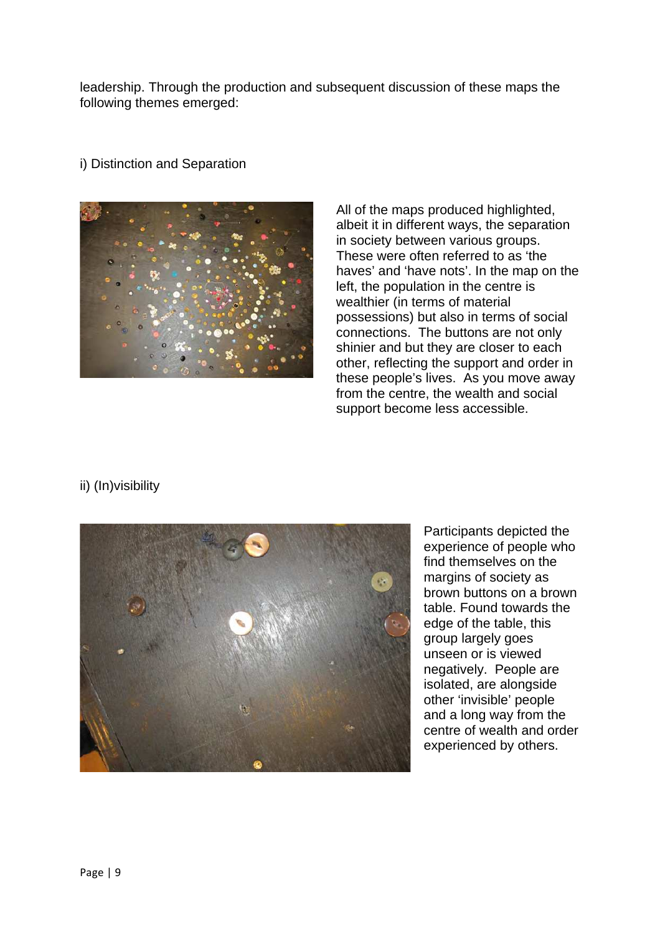leadership. Through the production and subsequent discussion of these maps the following themes emerged:



i) Distinction and Separation

All of the maps produced highlighted, albeit it in different ways, the separation in society between various groups. These were often referred to as 'the haves' and 'have nots'. In the map on the left, the population in the centre is wealthier (in terms of material possessions) but also in terms of social connections. The buttons are not only shinier and but they are closer to each other, reflecting the support and order in these people's lives. As you move away from the centre, the wealth and social support become less accessible.

# ii) (In)visibility



Participants depicted the experience of people who find themselves on the margins of society as brown buttons on a brown table. Found towards the edge of the table, this group largely goes unseen or is viewed negatively. People are isolated, are alongside other 'invisible' people and a long way from the centre of wealth and order experienced by others.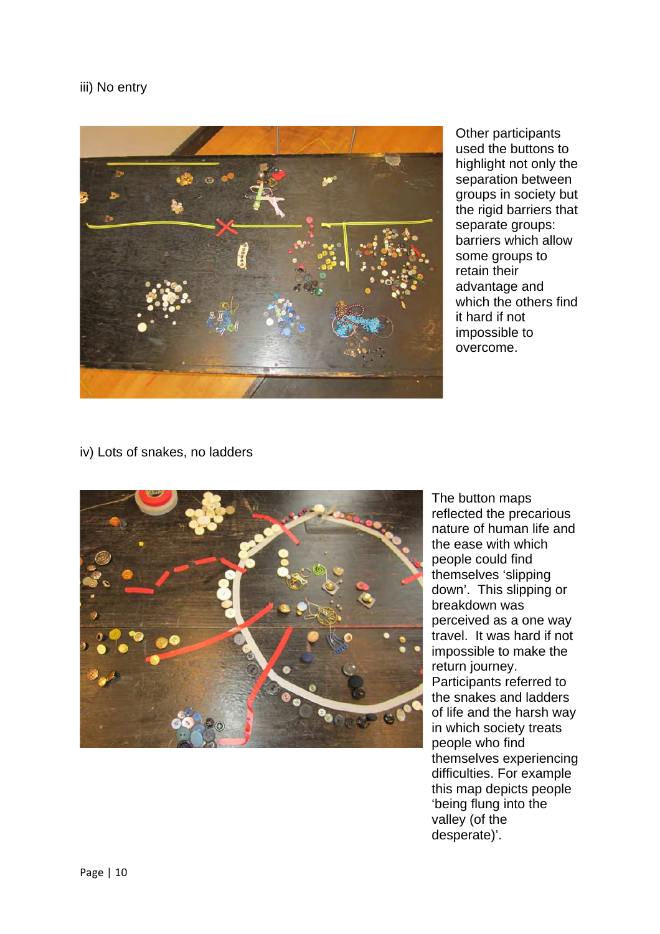#### iii) No entry



Other participants used the buttons to highlight not only the separation between groups in society but the rigid barriers that separate groups: barriers which allow some groups to retain their advantage and which the others find it hard if not impossible to overcome.

#### iv) Lots of snakes, no ladders



The button maps reflected the precarious nature of human life and the ease with which people could find themselves 'slipping down'. This slipping or breakdown was perceived as a one way travel. It was hard if not impossible to make the return journey. Participants referred to the snakes and ladders of life and the harsh way in which society treats people who find themselves experiencing difficulties. For example this map depicts people 'being flung into the valley (of the desperate)'.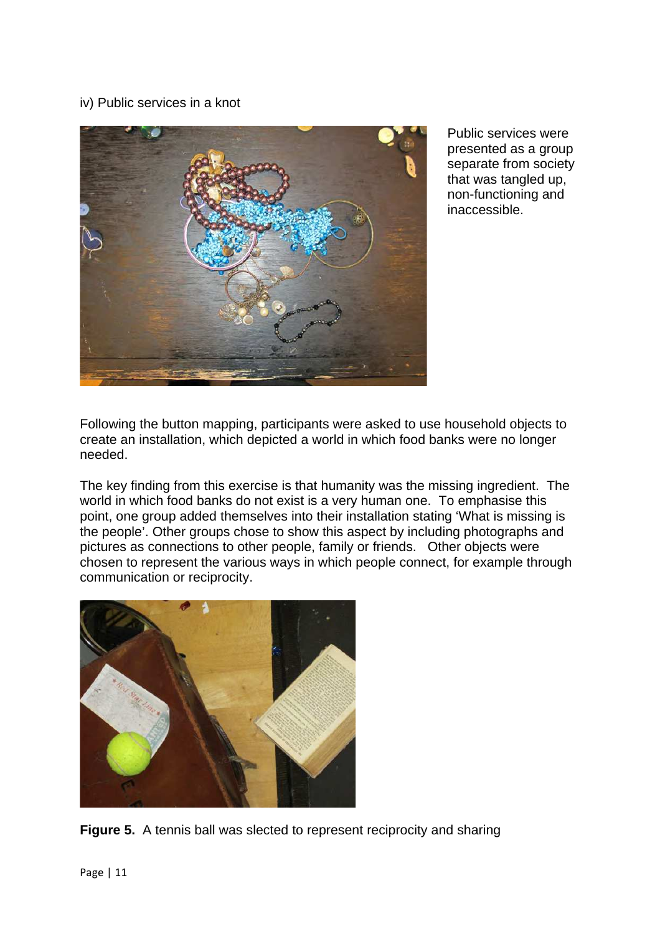#### iv) Public services in a knot



Public services were presented as a group separate from society that was tangled up, non-functioning and inaccessible.

Following the button mapping, participants were asked to use household objects to create an installation, which depicted a world in which food banks were no longer needed.

The key finding from this exercise is that humanity was the missing ingredient. The world in which food banks do not exist is a very human one. To emphasise this point, one group added themselves into their installation stating 'What is missing is the people'. Other groups chose to show this aspect by including photographs and pictures as connections to other people, family or friends. Other objects were chosen to represent the various ways in which people connect, for example through communication or reciprocity.



**Figure 5.** A tennis ball was slected to represent reciprocity and sharing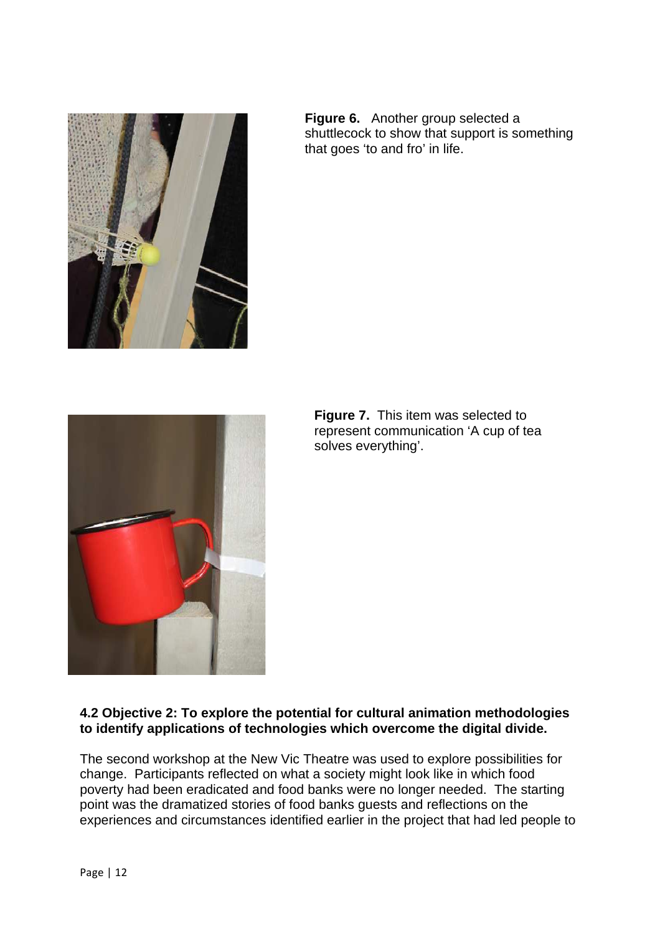

**Figure 6.** Another group selected a shuttlecock to show that support is something that goes 'to and fro' in life.



**Figure 7.** This item was selected to represent communication 'A cup of tea solves everything'.

#### **4.2 Objective 2: To explore the potential for cultural animation methodologies to identify applications of technologies which overcome the digital divide.**

The second workshop at the New Vic Theatre was used to explore possibilities for change. Participants reflected on what a society might look like in which food poverty had been eradicated and food banks were no longer needed. The starting point was the dramatized stories of food banks guests and reflections on the experiences and circumstances identified earlier in the project that had led people to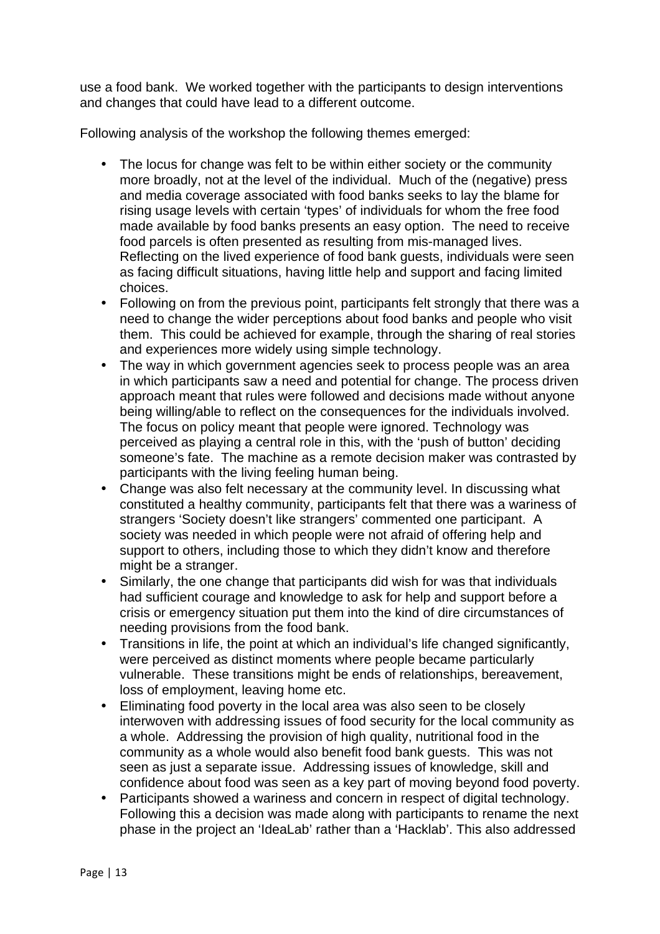use a food bank. We worked together with the participants to design interventions and changes that could have lead to a different outcome.

Following analysis of the workshop the following themes emerged:

- The locus for change was felt to be within either society or the community more broadly, not at the level of the individual. Much of the (negative) press and media coverage associated with food banks seeks to lay the blame for rising usage levels with certain 'types' of individuals for whom the free food made available by food banks presents an easy option. The need to receive food parcels is often presented as resulting from mis-managed lives. Reflecting on the lived experience of food bank guests, individuals were seen as facing difficult situations, having little help and support and facing limited choices.
- Following on from the previous point, participants felt strongly that there was a need to change the wider perceptions about food banks and people who visit them. This could be achieved for example, through the sharing of real stories and experiences more widely using simple technology.
- The way in which government agencies seek to process people was an area in which participants saw a need and potential for change. The process driven approach meant that rules were followed and decisions made without anyone being willing/able to reflect on the consequences for the individuals involved. The focus on policy meant that people were ignored. Technology was perceived as playing a central role in this, with the 'push of button' deciding someone's fate. The machine as a remote decision maker was contrasted by participants with the living feeling human being.
- Change was also felt necessary at the community level. In discussing what constituted a healthy community, participants felt that there was a wariness of strangers 'Society doesn't like strangers' commented one participant. A society was needed in which people were not afraid of offering help and support to others, including those to which they didn't know and therefore might be a stranger.
- Similarly, the one change that participants did wish for was that individuals had sufficient courage and knowledge to ask for help and support before a crisis or emergency situation put them into the kind of dire circumstances of needing provisions from the food bank.
- Transitions in life, the point at which an individual's life changed significantly, were perceived as distinct moments where people became particularly vulnerable. These transitions might be ends of relationships, bereavement, loss of employment, leaving home etc.
- Eliminating food poverty in the local area was also seen to be closely interwoven with addressing issues of food security for the local community as a whole. Addressing the provision of high quality, nutritional food in the community as a whole would also benefit food bank guests. This was not seen as just a separate issue. Addressing issues of knowledge, skill and confidence about food was seen as a key part of moving beyond food poverty.
- Participants showed a wariness and concern in respect of digital technology. Following this a decision was made along with participants to rename the next phase in the project an 'IdeaLab' rather than a 'Hacklab'. This also addressed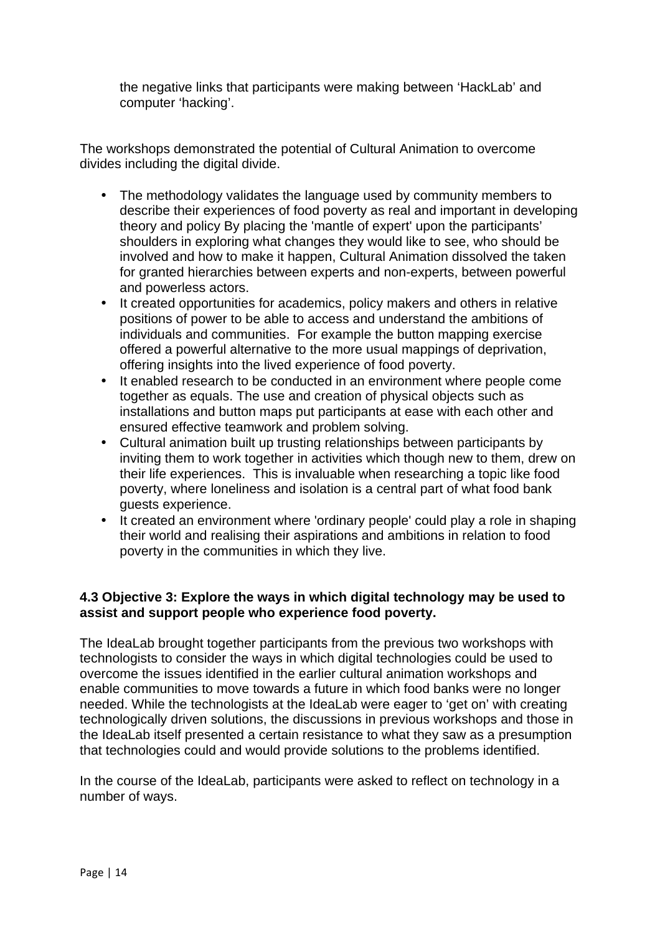the negative links that participants were making between 'HackLab' and computer 'hacking'.

The workshops demonstrated the potential of Cultural Animation to overcome divides including the digital divide.

- The methodology validates the language used by community members to describe their experiences of food poverty as real and important in developing theory and policy By placing the 'mantle of expert' upon the participants' shoulders in exploring what changes they would like to see, who should be involved and how to make it happen, Cultural Animation dissolved the taken for granted hierarchies between experts and non-experts, between powerful and powerless actors.
- It created opportunities for academics, policy makers and others in relative positions of power to be able to access and understand the ambitions of individuals and communities. For example the button mapping exercise offered a powerful alternative to the more usual mappings of deprivation, offering insights into the lived experience of food poverty.
- It enabled research to be conducted in an environment where people come together as equals. The use and creation of physical objects such as installations and button maps put participants at ease with each other and ensured effective teamwork and problem solving.
- Cultural animation built up trusting relationships between participants by inviting them to work together in activities which though new to them, drew on their life experiences. This is invaluable when researching a topic like food poverty, where loneliness and isolation is a central part of what food bank guests experience.
- It created an environment where 'ordinary people' could play a role in shaping their world and realising their aspirations and ambitions in relation to food poverty in the communities in which they live.

#### **4.3 Objective 3: Explore the ways in which digital technology may be used to assist and support people who experience food poverty.**

The IdeaLab brought together participants from the previous two workshops with technologists to consider the ways in which digital technologies could be used to overcome the issues identified in the earlier cultural animation workshops and enable communities to move towards a future in which food banks were no longer needed. While the technologists at the IdeaLab were eager to 'get on' with creating technologically driven solutions, the discussions in previous workshops and those in the IdeaLab itself presented a certain resistance to what they saw as a presumption that technologies could and would provide solutions to the problems identified.

In the course of the IdeaLab, participants were asked to reflect on technology in a number of ways.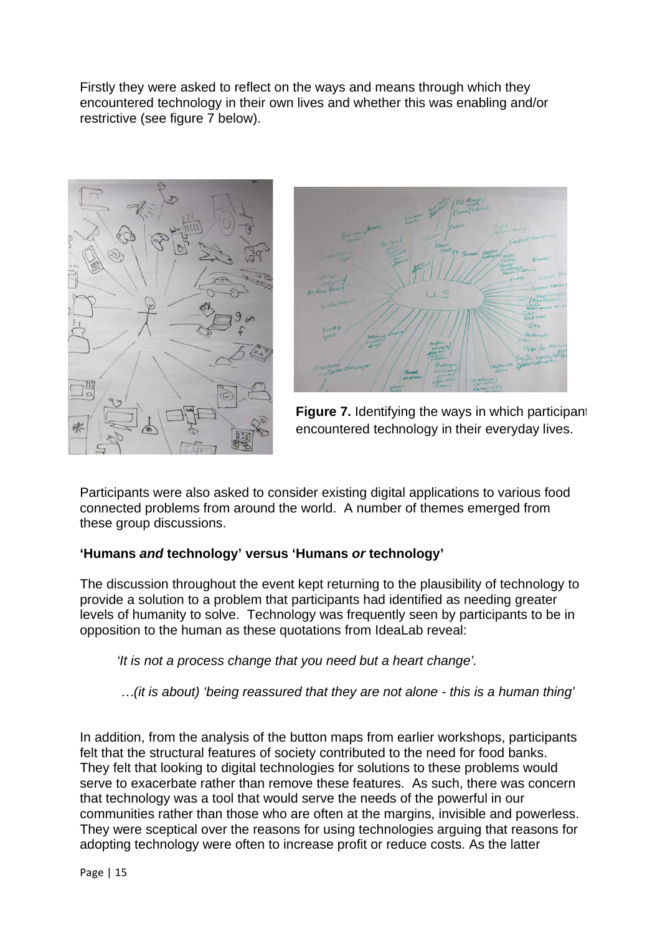Firstly they were asked to reflect on the ways and means through which they encountered technology in their own lives and whether this was enabling and/or restrictive (see figure 7 below).





**Figure 7.** Identifying the ways in which participant encountered technology in their everyday lives.

Participants were also asked to consider existing digital applications to various food connected problems from around the world. A number of themes emerged from these group discussions.

# **'Humans and technology' versus 'Humans or technology'**

The discussion throughout the event kept returning to the plausibility of technology to provide a solution to a problem that participants had identified as needing greater levels of humanity to solve. Technology was frequently seen by participants to be in opposition to the human as these quotations from IdeaLab reveal:

'It is not a process change that you need but a heart change'.

*…*(it is about) 'being reassured that they are not alone - this is a human thing'

In addition, from the analysis of the button maps from earlier workshops, participants felt that the structural features of society contributed to the need for food banks. They felt that looking to digital technologies for solutions to these problems would serve to exacerbate rather than remove these features. As such, there was concern that technology was a tool that would serve the needs of the powerful in our communities rather than those who are often at the margins, invisible and powerless. They were sceptical over the reasons for using technologies arguing that reasons for adopting technology were often to increase profit or reduce costs. As the latter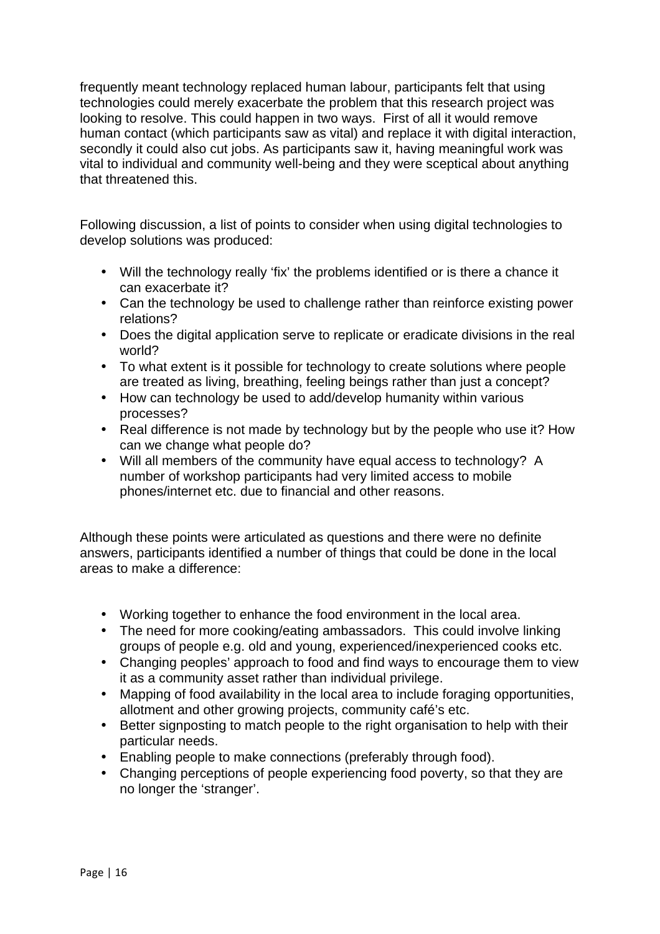frequently meant technology replaced human labour, participants felt that using technologies could merely exacerbate the problem that this research project was looking to resolve. This could happen in two ways. First of all it would remove human contact (which participants saw as vital) and replace it with digital interaction, secondly it could also cut jobs. As participants saw it, having meaningful work was vital to individual and community well-being and they were sceptical about anything that threatened this.

Following discussion, a list of points to consider when using digital technologies to develop solutions was produced:

- Will the technology really 'fix' the problems identified or is there a chance it can exacerbate it?
- Can the technology be used to challenge rather than reinforce existing power relations?
- Does the digital application serve to replicate or eradicate divisions in the real world?
- To what extent is it possible for technology to create solutions where people are treated as living, breathing, feeling beings rather than just a concept?
- How can technology be used to add/develop humanity within various processes?
- Real difference is not made by technology but by the people who use it? How can we change what people do?
- Will all members of the community have equal access to technology? A number of workshop participants had very limited access to mobile phones/internet etc. due to financial and other reasons.

Although these points were articulated as questions and there were no definite answers, participants identified a number of things that could be done in the local areas to make a difference:

- Working together to enhance the food environment in the local area.
- The need for more cooking/eating ambassadors. This could involve linking groups of people e.g. old and young, experienced/inexperienced cooks etc.
- Changing peoples' approach to food and find ways to encourage them to view it as a community asset rather than individual privilege.
- Mapping of food availability in the local area to include foraging opportunities, allotment and other growing projects, community café's etc.
- Better signposting to match people to the right organisation to help with their particular needs.
- Enabling people to make connections (preferably through food).
- Changing perceptions of people experiencing food poverty, so that they are no longer the 'stranger'.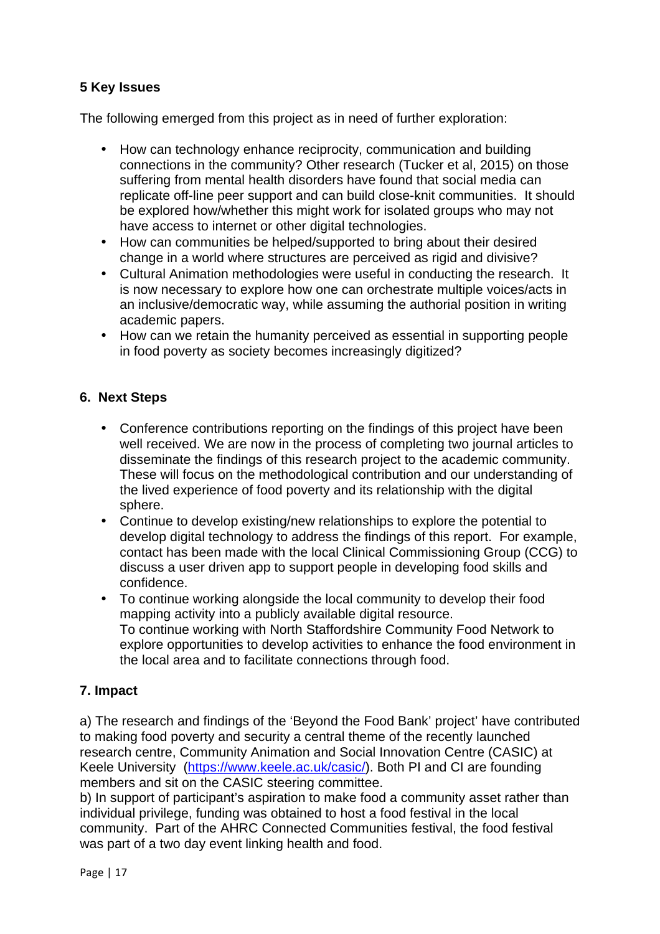# **5 Key Issues**

The following emerged from this project as in need of further exploration:

- How can technology enhance reciprocity, communication and building connections in the community? Other research (Tucker et al, 2015) on those suffering from mental health disorders have found that social media can replicate off-line peer support and can build close-knit communities. It should be explored how/whether this might work for isolated groups who may not have access to internet or other digital technologies.
- How can communities be helped/supported to bring about their desired change in a world where structures are perceived as rigid and divisive?
- Cultural Animation methodologies were useful in conducting the research. It is now necessary to explore how one can orchestrate multiple voices/acts in an inclusive/democratic way, while assuming the authorial position in writing academic papers.
- How can we retain the humanity perceived as essential in supporting people in food poverty as society becomes increasingly digitized?

# **6. Next Steps**

- Conference contributions reporting on the findings of this project have been well received. We are now in the process of completing two journal articles to disseminate the findings of this research project to the academic community. These will focus on the methodological contribution and our understanding of the lived experience of food poverty and its relationship with the digital sphere.
- Continue to develop existing/new relationships to explore the potential to develop digital technology to address the findings of this report. For example, contact has been made with the local Clinical Commissioning Group (CCG) to discuss a user driven app to support people in developing food skills and confidence.
- To continue working alongside the local community to develop their food mapping activity into a publicly available digital resource. To continue working with North Staffordshire Community Food Network to explore opportunities to develop activities to enhance the food environment in the local area and to facilitate connections through food.

# **7. Impact**

a) The research and findings of the 'Beyond the Food Bank' project' have contributed to making food poverty and security a central theme of the recently launched research centre, Community Animation and Social Innovation Centre (CASIC) at Keele University (https://www.keele.ac.uk/casic/). Both PI and CI are founding members and sit on the CASIC steering committee.

b) In support of participant's aspiration to make food a community asset rather than individual privilege, funding was obtained to host a food festival in the local community. Part of the AHRC Connected Communities festival, the food festival was part of a two day event linking health and food.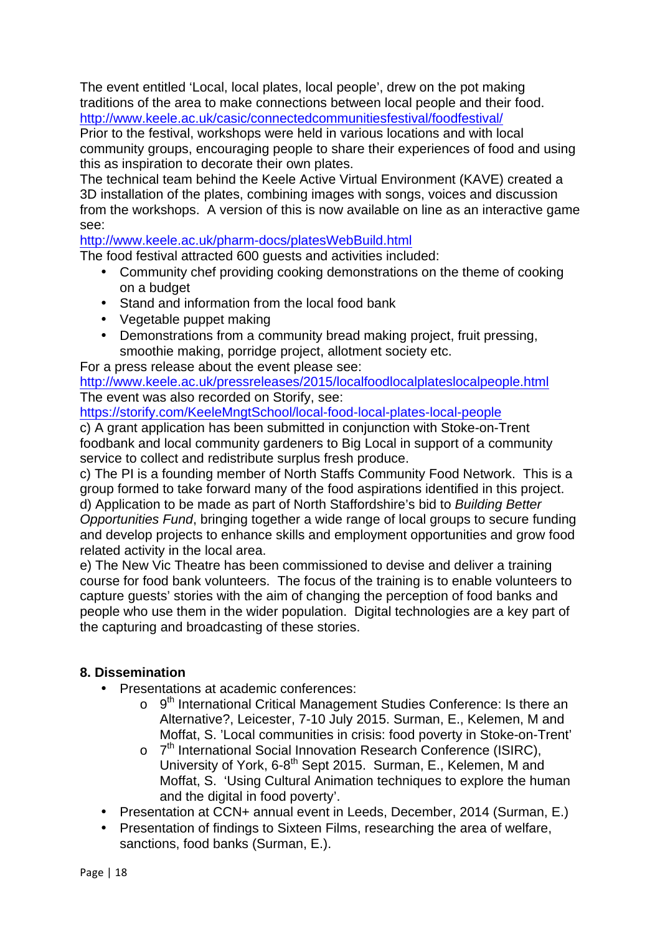The event entitled 'Local, local plates, local people', drew on the pot making traditions of the area to make connections between local people and their food. http://www.keele.ac.uk/casic/connectedcommunitiesfestival/foodfestival/

Prior to the festival, workshops were held in various locations and with local community groups, encouraging people to share their experiences of food and using this as inspiration to decorate their own plates.

The technical team behind the Keele Active Virtual Environment (KAVE) created a 3D installation of the plates, combining images with songs, voices and discussion from the workshops. A version of this is now available on line as an interactive game see:

#### http://www.keele.ac.uk/pharm-docs/platesWebBuild.html

The food festival attracted 600 guests and activities included:

- Community chef providing cooking demonstrations on the theme of cooking on a budget
- Stand and information from the local food bank
- Vegetable puppet making
- Demonstrations from a community bread making project, fruit pressing, smoothie making, porridge project, allotment society etc.

For a press release about the event please see:

http://www.keele.ac.uk/pressreleases/2015/localfoodlocalplateslocalpeople.html The event was also recorded on Storify, see:

https://storify.com/KeeleMngtSchool/local-food-local-plates-local-people

c) A grant application has been submitted in conjunction with Stoke-on-Trent foodbank and local community gardeners to Big Local in support of a community service to collect and redistribute surplus fresh produce.

c) The PI is a founding member of North Staffs Community Food Network. This is a group formed to take forward many of the food aspirations identified in this project. d) Application to be made as part of North Staffordshire's bid to Building Better Opportunities Fund, bringing together a wide range of local groups to secure funding and develop projects to enhance skills and employment opportunities and grow food related activity in the local area.

e) The New Vic Theatre has been commissioned to devise and deliver a training course for food bank volunteers. The focus of the training is to enable volunteers to capture guests' stories with the aim of changing the perception of food banks and people who use them in the wider population. Digital technologies are a key part of the capturing and broadcasting of these stories.

# **8. Dissemination**

- Presentations at academic conferences:
	- $\circ$  9<sup>th</sup> International Critical Management Studies Conference: Is there an Alternative?, Leicester, 7-10 July 2015. Surman, E., Kelemen, M and Moffat, S. 'Local communities in crisis: food poverty in Stoke-on-Trent'
	- o 7<sup>th</sup> International Social Innovation Research Conference (ISIRC), University of York, 6-8<sup>th</sup> Sept 2015. Surman, E., Kelemen, M and Moffat, S. 'Using Cultural Animation techniques to explore the human and the digital in food poverty'.
- Presentation at CCN+ annual event in Leeds, December, 2014 (Surman, E.)
- Presentation of findings to Sixteen Films, researching the area of welfare, sanctions, food banks (Surman, E.).